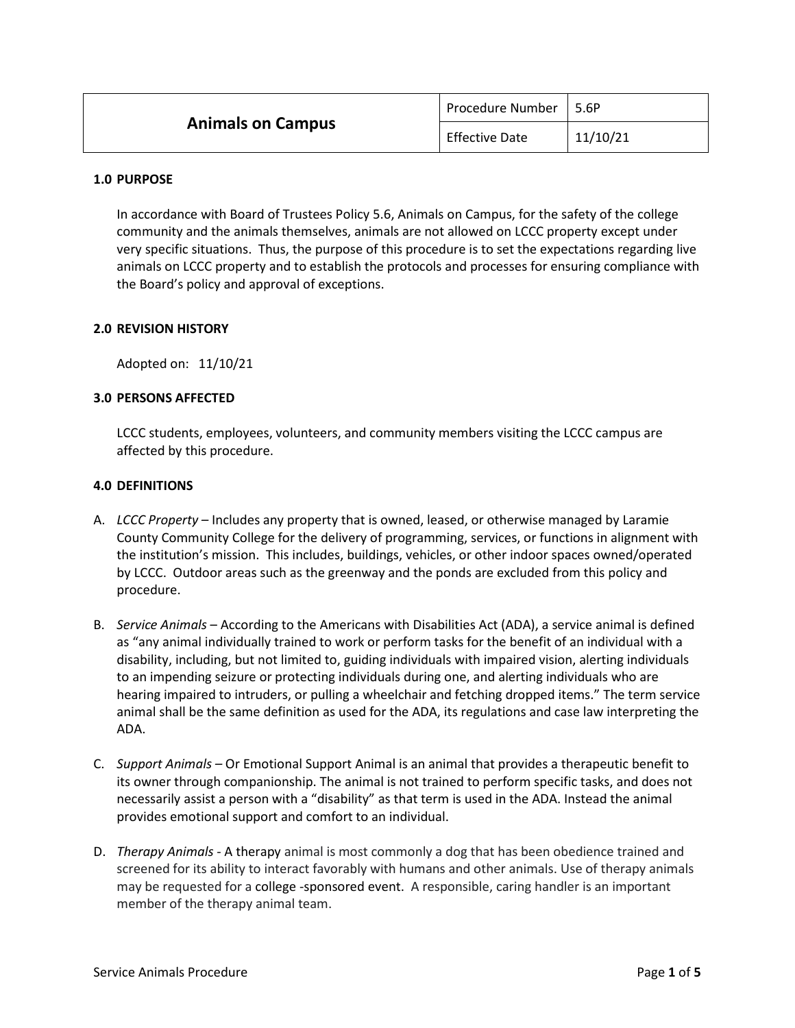| <b>Animals on Campus</b> | Procedure Number      | l 5.6P   |
|--------------------------|-----------------------|----------|
|                          | <b>Effective Date</b> | 11/10/21 |

#### **1.0 PURPOSE**

In accordance with Board of Trustees Policy 5.6, Animals on Campus, for the safety of the college community and the animals themselves, animals are not allowed on LCCC property except under very specific situations. Thus, the purpose of this procedure is to set the expectations regarding live animals on LCCC property and to establish the protocols and processes for ensuring compliance with the Board's policy and approval of exceptions.

## **2.0 REVISION HISTORY**

Adopted on: 11/10/21

## **3.0 PERSONS AFFECTED**

LCCC students, employees, volunteers, and community members visiting the LCCC campus are affected by this procedure.

## **4.0 DEFINITIONS**

- A. *LCCC Property* Includes any property that is owned, leased, or otherwise managed by Laramie County Community College for the delivery of programming, services, or functions in alignment with the institution's mission. This includes, buildings, vehicles, or other indoor spaces owned/operated by LCCC. Outdoor areas such as the greenway and the ponds are excluded from this policy and procedure.
- B. *Service Animals* According to the Americans with Disabilities Act (ADA), a service animal is defined as "any animal individually trained to work or perform tasks for the benefit of an individual with a disability, including, but not limited to, guiding individuals with impaired vision, alerting individuals to an impending seizure or protecting individuals during one, and alerting individuals who are hearing impaired to intruders, or pulling a wheelchair and fetching dropped items." The term service animal shall be the same definition as used for the ADA, its regulations and case law interpreting the ADA.
- C. *Support Animals –* Or Emotional Support Animal is an animal that provides a therapeutic benefit to its owner through companionship. The animal is not trained to perform specific tasks, and does not necessarily assist a person with a "disability" as that term is used in the ADA. Instead the animal provides emotional support and comfort to an individual.
- D. *Therapy Animals* A therapy animal is most commonly a dog that has been obedience trained and screened for its ability to interact favorably with humans and other animals. Use of therapy animals may be requested for a college -sponsored event. A responsible, caring handler is an important member of the therapy animal team.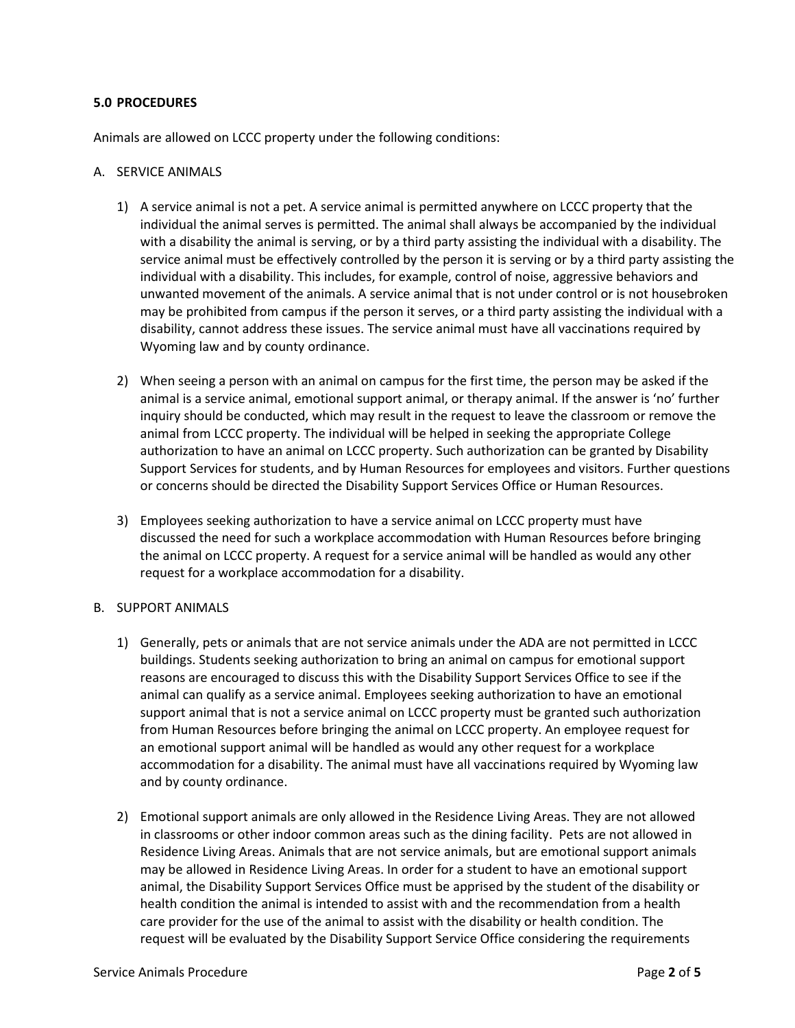# **5.0 PROCEDURES**

Animals are allowed on LCCC property under the following conditions:

### A. SERVICE ANIMALS

- 1) A service animal is not a pet. A service animal is permitted anywhere on LCCC property that the individual the animal serves is permitted. The animal shall always be accompanied by the individual with a disability the animal is serving, or by a third party assisting the individual with a disability. The service animal must be effectively controlled by the person it is serving or by a third party assisting the individual with a disability. This includes, for example, control of noise, aggressive behaviors and unwanted movement of the animals. A service animal that is not under control or is not housebroken may be prohibited from campus if the person it serves, or a third party assisting the individual with a disability, cannot address these issues. The service animal must have all vaccinations required by Wyoming law and by county ordinance.
- 2) When seeing a person with an animal on campus for the first time, the person may be asked if the animal is a service animal, emotional support animal, or therapy animal. If the answer is 'no' further inquiry should be conducted, which may result in the request to leave the classroom or remove the animal from LCCC property. The individual will be helped in seeking the appropriate College authorization to have an animal on LCCC property. Such authorization can be granted by Disability Support Services for students, and by Human Resources for employees and visitors. Further questions or concerns should be directed the Disability Support Services Office or Human Resources.
- 3) Employees seeking authorization to have a service animal on LCCC property must have discussed the need for such a workplace accommodation with Human Resources before bringing the animal on LCCC property. A request for a service animal will be handled as would any other request for a workplace accommodation for a disability.

### B. SUPPORT ANIMALS

- 1) Generally, pets or animals that are not service animals under the ADA are not permitted in LCCC buildings. Students seeking authorization to bring an animal on campus for emotional support reasons are encouraged to discuss this with the Disability Support Services Office to see if the animal can qualify as a service animal. Employees seeking authorization to have an emotional support animal that is not a service animal on LCCC property must be granted such authorization from Human Resources before bringing the animal on LCCC property. An employee request for an emotional support animal will be handled as would any other request for a workplace accommodation for a disability. The animal must have all vaccinations required by Wyoming law and by county ordinance.
- 2) Emotional support animals are only allowed in the Residence Living Areas. They are not allowed in classrooms or other indoor common areas such as the dining facility. Pets are not allowed in Residence Living Areas. Animals that are not service animals, but are emotional support animals may be allowed in Residence Living Areas. In order for a student to have an emotional support animal, the Disability Support Services Office must be apprised by the student of the disability or health condition the animal is intended to assist with and the recommendation from a health care provider for the use of the animal to assist with the disability or health condition. The request will be evaluated by the Disability Support Service Office considering the requirements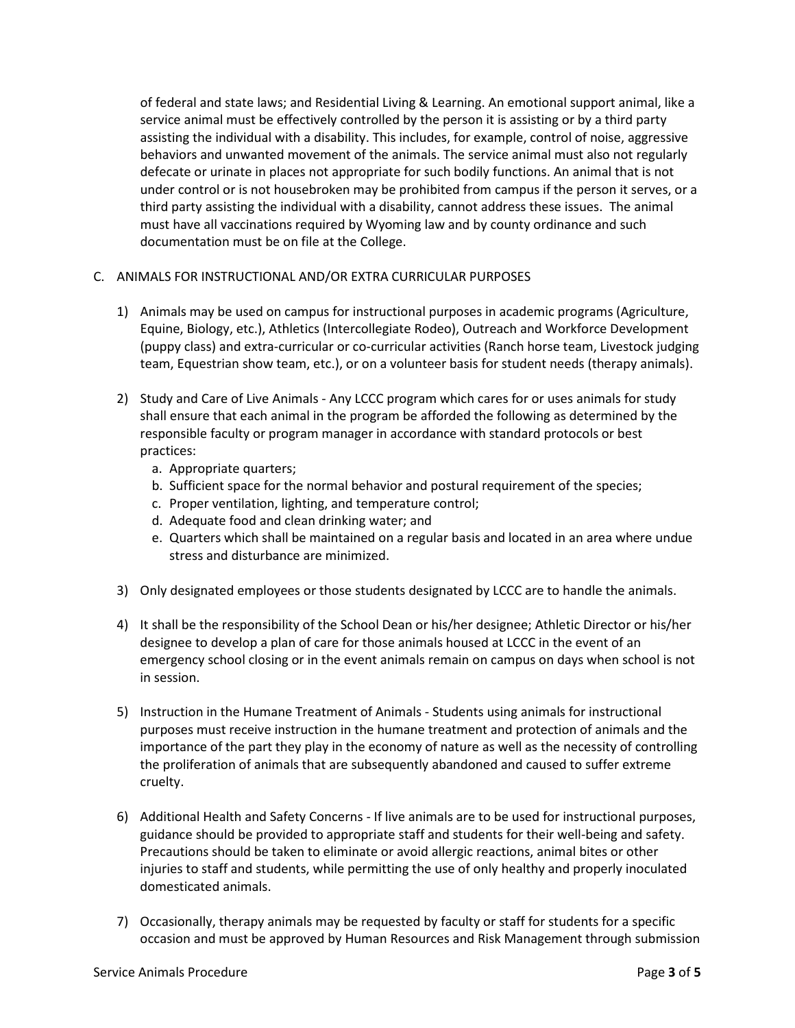of federal and state laws; and Residential Living & Learning. An emotional support animal, like a service animal must be effectively controlled by the person it is assisting or by a third party assisting the individual with a disability. This includes, for example, control of noise, aggressive behaviors and unwanted movement of the animals. The service animal must also not regularly defecate or urinate in places not appropriate for such bodily functions. An animal that is not under control or is not housebroken may be prohibited from campus if the person it serves, or a third party assisting the individual with a disability, cannot address these issues. The animal must have all vaccinations required by Wyoming law and by county ordinance and such documentation must be on file at the College.

# C. ANIMALS FOR INSTRUCTIONAL AND/OR EXTRA CURRICULAR PURPOSES

- 1) Animals may be used on campus for instructional purposes in academic programs (Agriculture, Equine, Biology, etc.), Athletics (Intercollegiate Rodeo), Outreach and Workforce Development (puppy class) and extra-curricular or co-curricular activities (Ranch horse team, Livestock judging team, Equestrian show team, etc.), or on a volunteer basis for student needs (therapy animals).
- 2) Study and Care of Live Animals Any LCCC program which cares for or uses animals for study shall ensure that each animal in the program be afforded the following as determined by the responsible faculty or program manager in accordance with standard protocols or best practices:
	- a. Appropriate quarters;
	- b. Sufficient space for the normal behavior and postural requirement of the species;
	- c. Proper ventilation, lighting, and temperature control;
	- d. Adequate food and clean drinking water; and
	- e. Quarters which shall be maintained on a regular basis and located in an area where undue stress and disturbance are minimized.
- 3) Only designated employees or those students designated by LCCC are to handle the animals.
- 4) It shall be the responsibility of the School Dean or his/her designee; Athletic Director or his/her designee to develop a plan of care for those animals housed at LCCC in the event of an emergency school closing or in the event animals remain on campus on days when school is not in session.
- 5) Instruction in the Humane Treatment of Animals Students using animals for instructional purposes must receive instruction in the humane treatment and protection of animals and the importance of the part they play in the economy of nature as well as the necessity of controlling the proliferation of animals that are subsequently abandoned and caused to suffer extreme cruelty.
- 6) Additional Health and Safety Concerns If live animals are to be used for instructional purposes, guidance should be provided to appropriate staff and students for their well-being and safety. Precautions should be taken to eliminate or avoid allergic reactions, animal bites or other injuries to staff and students, while permitting the use of only healthy and properly inoculated domesticated animals.
- 7) Occasionally, therapy animals may be requested by faculty or staff for students for a specific occasion and must be approved by Human Resources and Risk Management through submission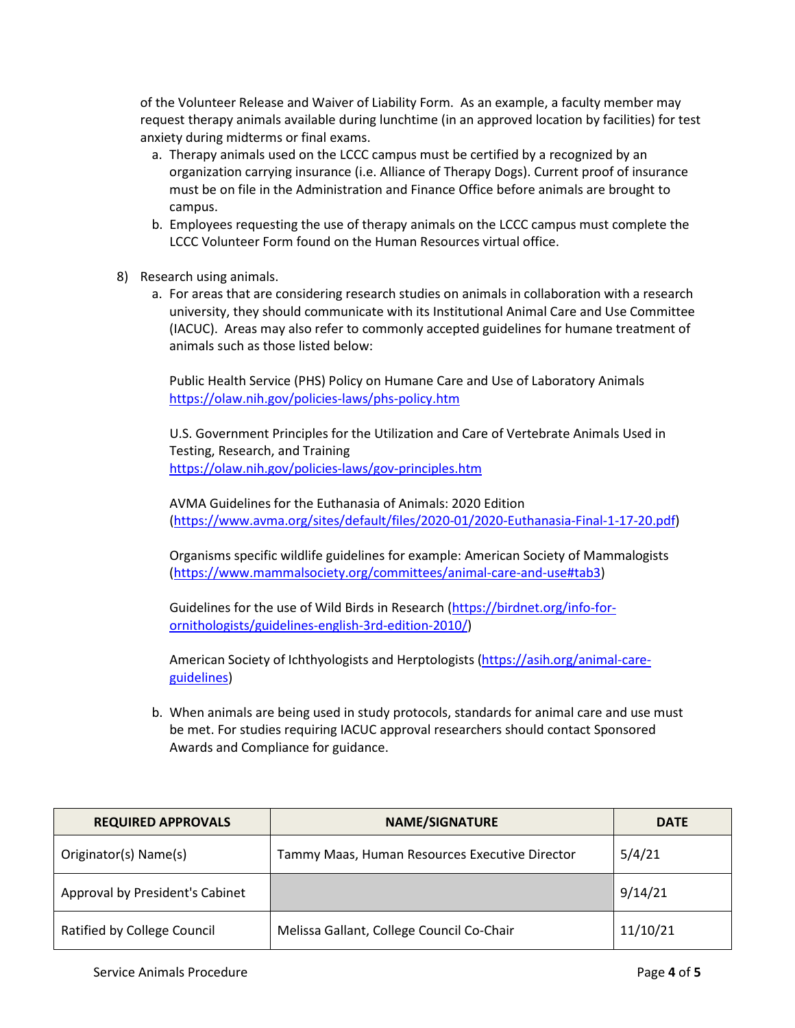of the Volunteer Release and Waiver of Liability Form. As an example, a faculty member may request therapy animals available during lunchtime (in an approved location by facilities) for test anxiety during midterms or final exams.

- a. Therapy animals used on the LCCC campus must be certified by a recognized by an organization carrying insurance (i.e. Alliance of Therapy Dogs). Current proof of insurance must be on file in the Administration and Finance Office before animals are brought to campus.
- b. Employees requesting the use of therapy animals on the LCCC campus must complete the LCCC Volunteer Form found on the Human Resources virtual office.
- 8) Research using animals.
	- a. For areas that are considering research studies on animals in collaboration with a research university, they should communicate with its Institutional Animal Care and Use Committee (IACUC). Areas may also refer to commonly accepted guidelines for humane treatment of animals such as those listed below:

Public Health Service (PHS) Policy on Humane Care and Use of Laboratory Animals <https://olaw.nih.gov/policies-laws/phs-policy.htm>

U.S. Government Principles for the Utilization and Care of Vertebrate Animals Used in Testing, Research, and Training <https://olaw.nih.gov/policies-laws/gov-principles.htm>

AVMA Guidelines for the Euthanasia of Animals: 2020 Edition [\(https://www.avma.org/sites/default/files/2020-01/2020-Euthanasia-Final-1-17-20.pdf\)](https://www.avma.org/sites/default/files/2020-01/2020-Euthanasia-Final-1-17-20.pdf)

Organisms specific wildlife guidelines for example: American Society of Mammalogists [\(https://www.mammalsociety.org/committees/animal-care-and-use#tab3\)](https://www.mammalsociety.org/committees/animal-care-and-use#tab3)

Guidelines for the use of Wild Birds in Research [\(https://birdnet.org/info-for](https://birdnet.org/info-for-ornithologists/guidelines-english-3rd-edition-2010/)[ornithologists/guidelines-english-3rd-edition-2010/\)](https://birdnet.org/info-for-ornithologists/guidelines-english-3rd-edition-2010/)

American Society of Ichthyologists and Herptologists [\(https://asih.org/animal-care](https://asih.org/animal-care-guidelines)[guidelines\)](https://asih.org/animal-care-guidelines)

b. When animals are being used in study protocols, standards for animal care and use must be met. For studies requiring IACUC approval researchers should contact Sponsored Awards and Compliance for guidance.

| <b>REQUIRED APPROVALS</b>       | <b>NAME/SIGNATURE</b>                          | <b>DATE</b> |
|---------------------------------|------------------------------------------------|-------------|
| Originator(s) Name(s)           | Tammy Maas, Human Resources Executive Director | 5/4/21      |
| Approval by President's Cabinet |                                                | 9/14/21     |
| Ratified by College Council     | Melissa Gallant, College Council Co-Chair      | 11/10/21    |